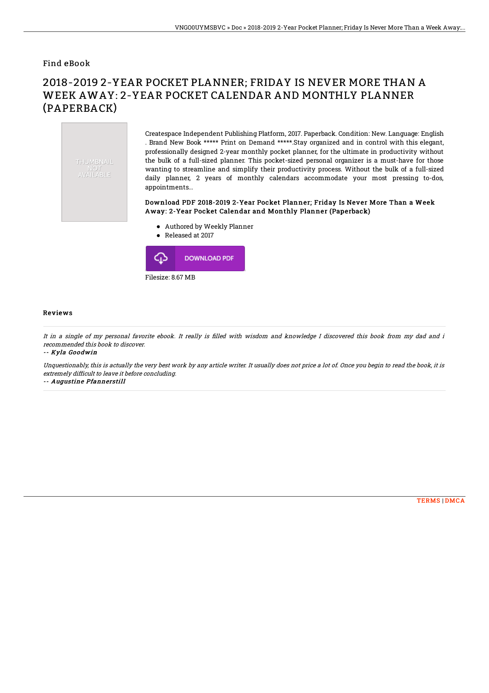Find eBook

## 2018-2019 2-YEAR POCKET PLANNER; FRIDAY IS NEVER MORE THAN A WEEK AWAY: 2-YEAR POCKET CALENDAR AND MONTHLY PLANNER (PAPERBACK)



Createspace Independent Publishing Platform, 2017. Paperback. Condition: New. Language: English . Brand New Book \*\*\*\*\* Print on Demand \*\*\*\*\*.Stay organized and in control with this elegant, professionally designed 2-year monthly pocket planner, for the ultimate in productivity without the bulk of a full-sized planner. This pocket-sized personal organizer is a must-have for those wanting to streamline and simplify their productivity process. Without the bulk of a full-sized daily planner, 2 years of monthly calendars accommodate your most pressing to-dos, appointments...

## Download PDF 2018-2019 2-Year Pocket Planner; Friday Is Never More Than a Week Away: 2-Year Pocket Calendar and Monthly Planner (Paperback)

- Authored by Weekly Planner
- Released at 2017



## Reviews

It in a single of my personal favorite ebook. It really is filled with wisdom and knowledge I discovered this book from my dad and i recommended this book to discover.

-- Kyla Goodwin

Unquestionably, this is actually the very best work by any article writer. It usually does not price <sup>a</sup> lot of. Once you begin to read the book, it is extremely difficult to leave it before concluding.

-- Augustine Pfannerstill